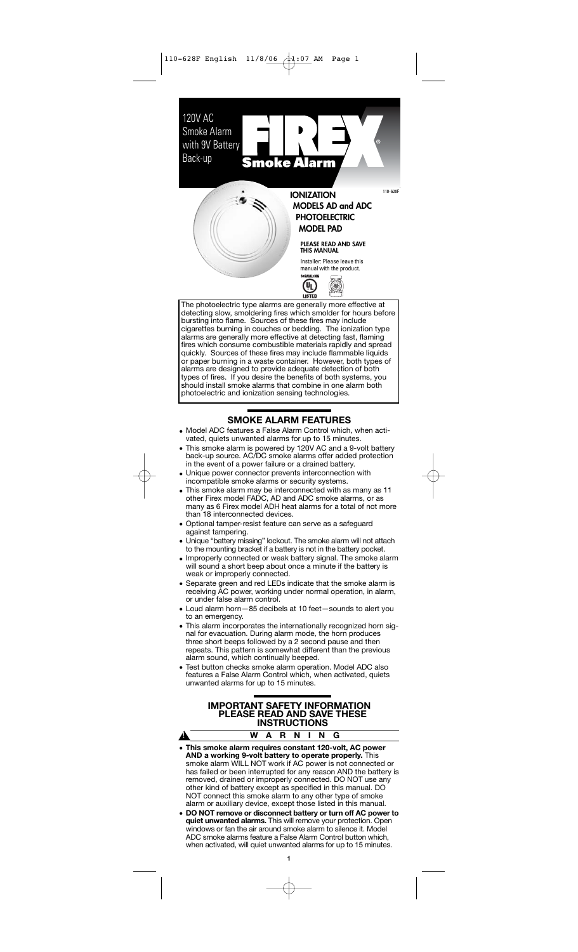120V AC Smoke Alarm with 9V Battery Back-up Smoke A larm  $\dot{\bullet}$  : **IONIZATION MODELS AD and ADC PHOTOELECTRIC**

# **MODEL PAD**

110-628F

# **PLEASE READ AND SAVE THIS MANUAL**

Installer: Please leave this manual with the product.<br>SIGNALING

መ

۵  $\alpha$  .  $\sim$ 

**LISTED** The photoelectric type alarms are generally more effective at detecting slow, smoldering fires which smolder for hours before bursting into flame. Sources of these fires may include cigarettes burning in couches or bedding. The ionization type alarms are generally more effective at detecting fast, flaming fires which consume combustible materials rapidly and spread quickly. Sources of these fires may include flammable liquids or paper burning in a waste container. However, both types of alarms are designed to provide adequate detection of both types of fires. If you desire the benefits of both systems, you should install smoke alarms that combine in one alarm both photoelectric and ionization sensing technologies.

# **SMOKE ALARM FEATURES**

- Model ADC features a False Alarm Control which, when activated, quiets unwanted alarms for up to 15 minutes.
- This smoke alarm is powered by 120V AC and a 9-volt battery back-up source. AC/DC smoke alarms offer added protection in the event of a power failure or a drained battery.
- Unique power connector prevents interconnection with incompatible smoke alarms or security systems.
- This smoke alarm may be interconnected with as many as 11 other Firex model FADC, AD and ADC smoke alarms, or as many as 6 Firex model ADH heat alarms for a total of not more than 18 interconnected devices.
- Optional tamper-resist feature can serve as a safeguard against tampering.
- Unique "battery missing" lockout. The smoke alarm will not attach to the mounting bracket if a battery is not in the battery pocket.
- Improperly connected or weak battery signal. The smoke alarm will sound a short beep about once a minute if the battery is weak or improperly connected.
- Separate green and red LEDs indicate that the smoke alarm is receiving AC power, working under normal operation, in alarm, or under false alarm control.
- Loud alarm horn—85 decibels at 10 feet—sounds to alert you to an emergency.
- This alarm incorporates the internationally recognized horn signal for evacuation. During alarm mode, the horn produces three short beeps followed by a 2 second pause and then repeats. This pattern is somewhat different than the previous alarm sound, which continually beeped.
- Test button checks smoke alarm operation. Model ADC also features a False Alarm Control which, when activated, quiets unwanted alarms for up to 15 minutes.

# **IMPORTANT SAFETY INFORMATION PLEASE READ AND SAVE THESE INSTRUCTIONS**

### **WARNING**

 $\blacktriangle$ 

- **This smoke alarm requires constant 120-volt, AC power AND a working 9-volt battery to operate properly.** This smoke alarm WILL NOT work if AC power is not connected or has failed or been interrupted for any reason AND the battery is removed, drained or improperly connected. DO NOT use any other kind of battery except as specified in this manual. DO NOT connect this smoke alarm to any other type of smoke alarm or auxiliary device, except those listed in this manual.
- **DO NOT remove or disconnect battery or turn off AC power to quiet unwanted alarms.** This will remove your protection. Open windows or fan the air around smoke alarm to silence it. Model ADC smoke alarms feature a False Alarm Control button which, when activated, will quiet unwanted alarms for up to 15 minutes.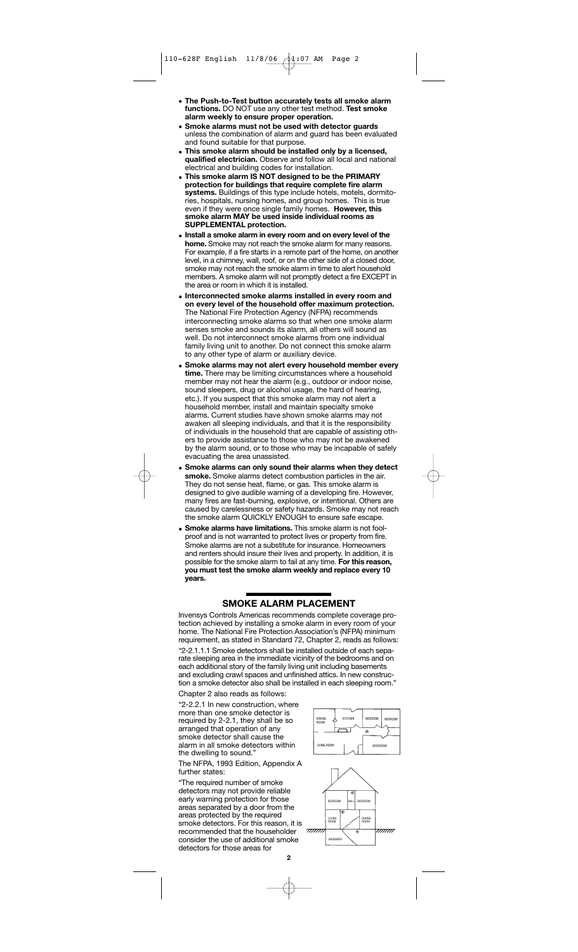- **The Push-to-Test button accurately tests all smoke alarm functions.** DO NOT use any other test method. **Test smoke alarm weekly to ensure proper operation.**
- **Smoke alarms must not be used with detector guards** unless the combination of alarm and guard has been evaluated and found suitable for that purpose.
- **This smoke alarm should be installed only by a licensed, qualified electrician.** Observe and follow all local and national electrical and building codes for installation.
- **This smoke alarm IS NOT designed to be the PRIMARY protection for buildings that require complete fire alarm systems.** Buildings of this type include hotels, motels, dormitories, hospitals, nursing homes, and group homes. even if they were once single family homes. **However, this smoke alarm MAY be used inside individual rooms as SUPPLEMENTAL protection.**
- **Install a smoke alarm in every room and on every level of the home.** Smoke may not reach the smoke alarm for many reasons. For example, if a fire starts in a remote part of the home, on another level, in a chimney, wall, roof, or on the other side of a closed door, smoke may not reach the smoke alarm in time to alert household members. A smoke alarm will not promptly detect a fire EXCEPT in the area or room in which it is installed.
- **Interconnected smoke alarms installed in every room and on every level of the household offer maximum protection.** The National Fire Protection Agency (NFPA) recommends interconnecting smoke alarms so that when one smoke alarm senses smoke and sounds its alarm, all others will sound as well. Do not interconnect smoke alarms from one individual family living unit to another. Do not connect this smoke alarm to any other type of alarm or auxiliary device.
- **Smoke alarms may not alert every household member every time.** There may be limiting circumstances where a household member may not hear the alarm (e.g., outdoor or indoor noise, sound sleepers, drug or alcohol usage, the hard of hearing, etc.). If you suspect that this smoke alarm may not alert a household member, install and maintain specialty smoke alarms. Current studies have shown smoke alarms may not awaken all sleeping individuals, and that it is the responsibility of individuals in the household that are capable of assisting others to provide assistance to those who may not be awakened by the alarm sound, or to those who may be incapable of safely evacuating the area unassisted.
- **Smoke alarms can only sound their alarms when they detect smoke.** Smoke alarms detect combustion particles in the air. They do not sense heat, flame, or gas. This smoke alarm is designed to give audible warning of a developing fire. However, many fires are fast-burning, explosive, or intentional. Others are caused by carelessness or safety hazards. Smoke may not reach the smoke alarm QUICKLY ENOUGH to ensure safe escape.
- **Smoke alarms have limitations.** This smoke alarm is not foolproof and is not warranted to protect lives or property from fire. Smoke alarms are not a substitute for insurance. Homeowners and renters should insure their lives and property. In addition, it is possible for the smoke alarm to fail at any time. **For this reason, you must test the smoke alarm weekly and replace every 10 years.**

## **SMOKE ALARM PLACEMENT**

Invensys Controls Americas recommends complete coverage protection achieved by installing a smoke alarm in every room of your home. The National Fire Protection Association's (NFPA) minimum requirement, as stated in Standard 72, Chapter 2, reads as follows: "2-2.1.1.1 Smoke detectors shall be installed outside of each separate sleeping area in the immediate vicinity of the bedrooms and on each additional story of the family living unit including basements and excluding crawl spaces and unfinished attics. In new construction a smoke detector also shall be installed in each sleeping room."

Chapter 2 also reads as follows: "2-2.2.1 In new construction, where more than one smoke detector is required by 2-2.1, they shall be so

arranged that operation of any smoke detector shall cause the alarm in all smoke detectors within the dwelling to sound.

The NFPA, 1993 Edition, Appendix A further states:

"The required number of smoke detectors may not provide reliable early warning protection for those areas separated by a door from the areas protected by the required smoke detectors. For this reason, it is recommended that the householder consider the use of additional smoke detectors for those areas for



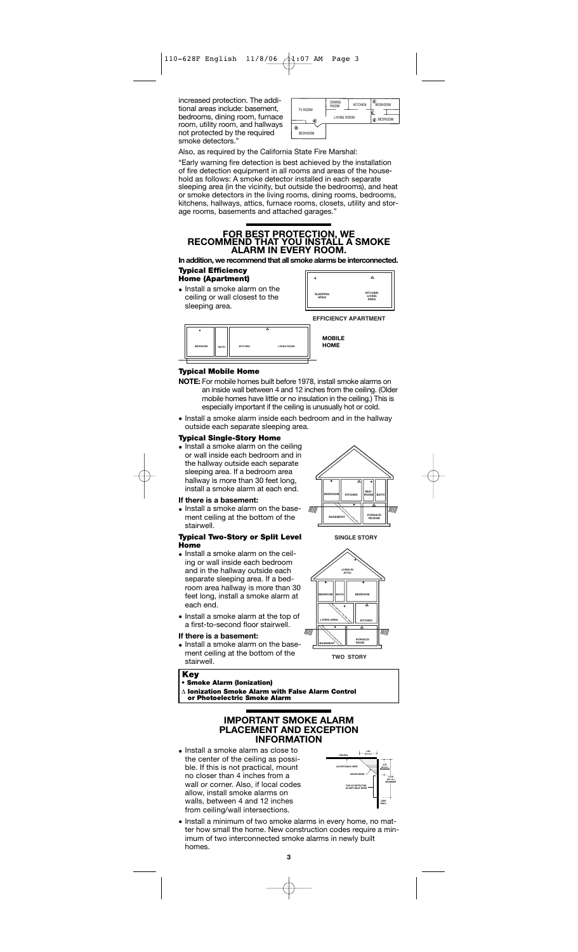increased protection. The additional areas include: basement, bedrooms, dining room, furnace room, utility room, and hallways not protected by the required smoke detectors.'

|                          | <b>DINING</b><br><b>ROOM</b> | <b>KITCHEN</b> | e<br><b>BEDROOM</b> |
|--------------------------|------------------------------|----------------|---------------------|
| TV ROOM                  | LIVING ROOM                  |                | @ BEDROOM           |
| @<br>€<br><b>BEDROOM</b> |                              |                |                     |

Also, as required by the California State Fire Marshal:

"Early warning fire detection is best achieved by the installation of fire detection equipment in all rooms and areas of the household as follows: A smoke detector installed in each separate sleeping area (in the vicinity, but outside the bedrooms), and heat or smoke detectors in the living rooms, dining rooms, bedrooms, kitchens, hallways, attics, furnace rooms, closets, utility and storage rooms, basements and attached garages.

# **FOR BEST PROTECTION, WE RECOMMEND THAT YOU INSTALL A SMOKE ALARM IN EVERY ROOM.**

**In addition, we recommend that all smoke alarms be interconnected. Typical Efficiency**  Гī ٦ **Home (Apartment)**

• Install a smoke alarm on the ceiling or wall closest to the sleeping area.

|                                | <b>EFFICIENCY APARTMENT</b>             |
|--------------------------------|-----------------------------------------|
| <b>SLEEPING</b><br><b>ARFA</b> | <b>KITCHEN</b><br>LIVING<br><b>ARFA</b> |
|                                | "                                       |

**MOBILE HOME**

| <b>BEDROOM</b> | BATH | <b>KITCHEN</b> | <b>LIVING ROOM</b> |  |
|----------------|------|----------------|--------------------|--|

### **Typical Mobile Home**

- **NOTE:** For mobile homes built before 1978, install smoke alarms on an inside wall between 4 and 12 inches from the ceiling. (Older mobile homes have little or no insulation in the ceiling.) This is especially important if the ceiling is unusually hot or cold.
- Install a smoke alarm inside each bedroom and in the hallway outside each separate sleeping area.

### **Typical Single-Story Home**

• Install a smoke alarm on the ceiling or wall inside each bedroom and in the hallway outside each separate sleeping area. If a bedroom area hallway is more than 30 feet long, install a smoke alarm at each end.

#### **If there is a basement:**

• Install a smoke alarm on the basement ceiling at the bottom of the stairwell.

#### **Typical Two-Story or Split Level Home**

- Install a smoke alarm on the ceiling or wall inside each bedroom and in the hallway outside each separate sleeping area. If a bedroom area hallway is more than 30 feet long, install a smoke alarm at each end.
- Install a smoke alarm at the top of a first-to-second floor stairwell.

#### **If there is a basement:**

• Install a smoke alarm on the basement ceiling at the bottom of the stairwell.



**SINGLE STORY**



### **Key**

**• Smoke Alarm (Ionization)**

Δ **Ionization Smoke Alarm with False Alarm Control or Photoelectric Smoke Alarm**

## **IMPORTANT SMOKE ALARM PLACEMENT AND EXCEPTION INFORMATION**

• Install a smoke alarm as close to the center of the ceiling as possible. If this is not practical, mount no closer than 4 inches from a wall or corner. Also, if local codes allow, install smoke alarms on walls, between 4 and 12 inches from ceiling/wall intersections.



• Install a minimum of two smoke alarms in every home, no matter how small the home. New construction codes require a minimum of two interconnected smoke alarms in newly built homes.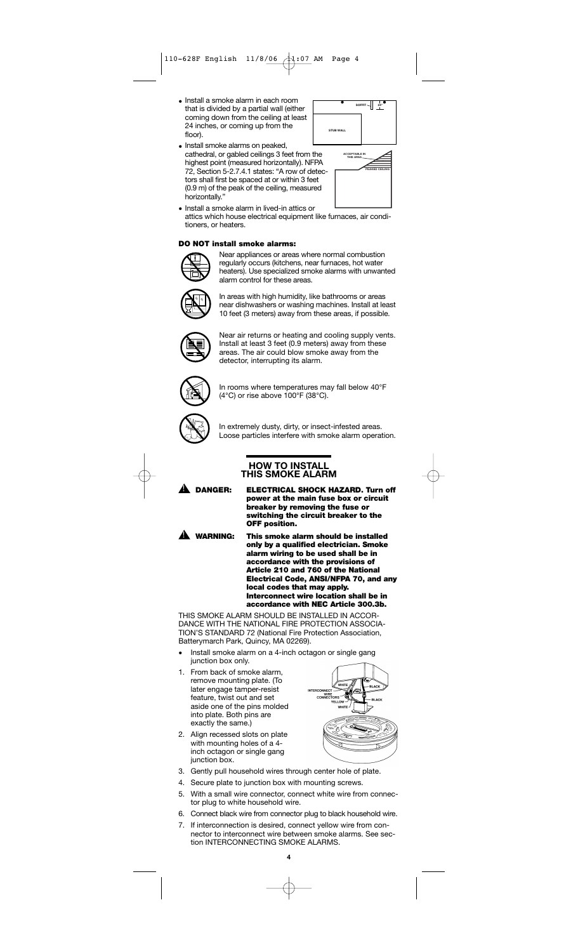- Install a smoke alarm in each room that is divided by a partial wall (either coming down from the ceiling at least 24 inches, or coming up from the floor).
- Install smoke alarms on peaked, cathedral, or gabled ceilings 3 feet from the highest point (measured horizontally). NFPA 72, Section 5-2.7.4.1 states: "A row of detectors shall first be spaced at or within 3 feet (0.9 m) of the peak of the ceiling, measured horizontally."



|  | <b>ACCEPTABLE IN</b><br>THIS AREA |                       |  |
|--|-----------------------------------|-----------------------|--|
|  |                                   | <b>PEAKED CEILING</b> |  |
|  |                                   |                       |  |
|  |                                   |                       |  |
|  |                                   |                       |  |

• Install a smoke alarm in lived-in attics or attics which house electrical equipment like furnaces, air conditioners, or heaters.

### **DO NOT install smoke alarms:**



Near appliances or areas where normal combustion regularly occurs (kitchens, near furnaces, hot water heaters). Use specialized smoke alarms with unwanted alarm control for these areas.



In areas with high humidity, like bathrooms or areas near dishwashers or washing machines. Install at least 10 feet (3 meters) away from these areas, if possible.



Near air returns or heating and cooling supply vents. Install at least 3 feet (0.9 meters) away from these areas. The air could blow smoke away from the detector, interrupting its alarm.



In rooms where temperatures may fall below 40°F (4°C) or rise above 100°F (38°C).



In extremely dusty, dirty, or insect-infested areas. Loose particles interfere with smoke alarm operation.

### **HOW TO INSTALL THIS SMOKE ALARM**



**DANGER: ELECTRICAL SHOCK HAZARD. Turn off power at the main fuse box or circuit breaker by removing the fuse or switching the circuit breaker to the OFF position.**

A.

**WARNING: This smoke alarm should be installed only by a qualified electrician. Smoke alarm wiring to be used shall be in accordance with the provisions of Article 210 and 760 of the National Electrical Code, ANSI/NFPA 70, and any local codes that may apply. Interconnect wire location shall be in accordance with NEC Article 300.3b.**

THIS SMOKE ALARM SHOULD BE INSTALLED IN ACCOR-DANCE WITH THE NATIONAL FIRE PROTECTION ASSOCIA-TION'S STANDARD 72 (National Fire Protection Association, Batterymarch Park, Quincy, MA 02269).

- Install smoke alarm on a 4-inch octagon or single gang junction box only.
- 1. From back of smoke alarm, remove mounting plate. (To later engage tamper-resist feature, twist out and set aside one of the pins molded into plate. Both pins are exactly the same.)
- 2. Align recessed slots on plate with mounting holes of a 4 inch octagon or single gang junction box.
- **BLACK RCO** 'n
- 3. Gently pull household wires through center hole of plate.
- 4. Secure plate to junction box with mounting screws.
- 5. With a small wire connector, connect white wire from connector plug to white household wire.
- 6. Connect black wire from connector plug to black household wire.
- 7. If interconnection is desired, connect yellow wire from connector to interconnect wire between smoke alarms. See section INTERCONNECTING SMOKE ALARMS.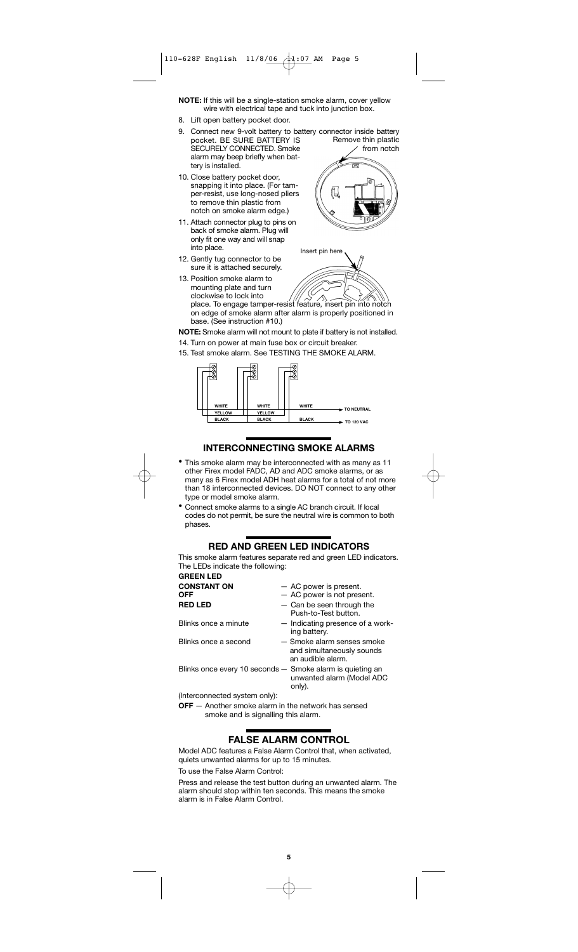**NOTE:** If this will be a single-station smoke alarm, cover yellow wire with electrical tape and tuck into junction box.

- 8. Lift open battery pocket door.
- 9. Connect new 9-volt battery to battery connector inside battery pocket. BE SURE BATTERY IS SECURELY CONNECTED. Smoke alarm may beep briefly when battery is installed.
- 10. Close battery pocket door, snapping it into place. (For tamper-resist, use long-nosed pliers to remove thin plastic from notch on smoke alarm edge.)
- 11. Attach connector plug to pins on back of smoke alarm. Plug will only fit one way and will snap into place.
- 12. Gently tug connector to be sure it is attached securely.



Remove thin plastic



- 13. Position smoke alarm to mounting plate and turn clockwise to lock into place. To engage tamper-resist feature, insert pin into notch on edge of smoke alarm after alarm is properly positioned in base. (See instruction #10.)
- **NOTE:** Smoke alarm will not mount to plate if battery is not installed.
- 14. Turn on power at main fuse box or circuit breaker.
- 15. Test smoke alarm. See TESTING THE SMOKE ALARM.



# **INTERCONNECTING SMOKE ALARMS**

- This smoke alarm may be interconnected with as many as 11 other Firex model FADC, AD and ADC smoke alarms, or as many as 6 Firex model ADH heat alarms for a total of not more than 18 interconnected devices. DO NOT connect to any other type or model smoke alarm.
- Connect smoke alarms to a single AC branch circuit. If local codes do not permit, be sure the neutral wire is common to both phases.

## **RED AND GREEN LED INDICATORS**

This smoke alarm features separate red and green LED indicators. The LEDs indicate the following: **GREEN LED**

| uncen ccc                                                 |                                                                              |
|-----------------------------------------------------------|------------------------------------------------------------------------------|
| <b>CONSTANT ON</b><br>OFF                                 | - AC power is present.<br>- AC power is not present.                         |
| <b>RED LED</b>                                            | - Can be seen through the<br>Push-to-Test button.                            |
| Blinks once a minute                                      | - Indicating presence of a work-<br>ing battery.                             |
| Blinks once a second                                      | - Smoke alarm senses smoke<br>and simultaneously sounds<br>an audible alarm. |
| Blinks once every 10 seconds - Smoke alarm is quieting an | unwanted alarm (Model ADC<br>only).                                          |
| (Interconnected system only):                             |                                                                              |

**OFF** - Another smoke alarm in the network has sensed smoke and is signalling this alarm.

# **FALSE ALARM CONTROL**

Model ADC features a False Alarm Control that, when activated, quiets unwanted alarms for up to 15 minutes.

To use the False Alarm Control:

Press and release the test button during an unwanted alarm. The alarm should stop within ten seconds. This means the smoke alarm is in False Alarm Control.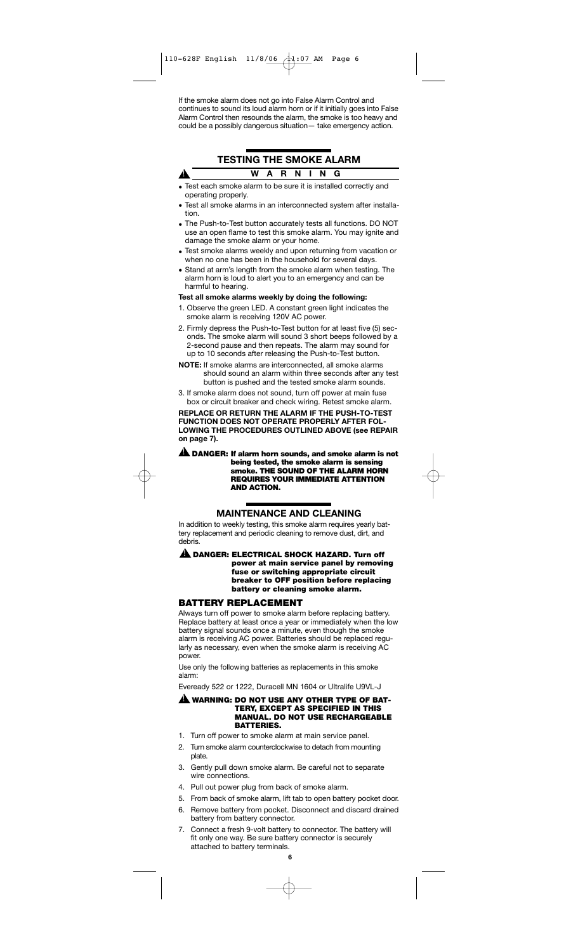If the smoke alarm does not go into False Alarm Control and continues to sound its loud alarm horn or if it initially goes into False Alarm Control then resounds the alarm, the smoke is too heavy and could be a possibly dangerous situation— take emergency action.

# **TESTING THE SMOKE ALARM WARNING**

Test each smoke alarm to be sure it is installed correctly and operating properly.

A

- Test all smoke alarms in an interconnected system after installation.
- The Push-to-Test button accurately tests all functions. DO NOT use an open flame to test this smoke alarm. You may ignite and damage the smoke alarm or your home.
- Test smoke alarms weekly and upon returning from vacation or when no one has been in the household for several days.
- Stand at arm's length from the smoke alarm when testing. The alarm horn is loud to alert you to an emergency and can be harmful to hearing.

### **Test all smoke alarms weekly by doing the following:**

- 1. Observe the green LED. A constant green light indicates the smoke alarm is receiving 120V AC power.
- 2. Firmly depress the Push-to-Test button for at least five (5) seconds. The smoke alarm will sound 3 short beeps followed by a 2-second pause and then repeats. The alarm may sound for up to 10 seconds after releasing the Push-to-Test button.
- **NOTE:** If smoke alarms are interconnected, all smoke alarms should sound an alarm within three seconds after any test button is pushed and the tested smoke alarm sounds.
- 3. If smoke alarm does not sound, turn off power at main fuse box or circuit breaker and check wiring. Retest smoke alarm.

**REPLACE OR RETURN THE ALARM IF THE PUSH-TO-TEST FUNCTION DOES NOT OPERATE PROPERLY AFTER FOL-LOWING THE PROCEDURES OUTLINED ABOVE (see REPAIR on page 7).**

**DANGER: If alarm horn sounds, and smoke alarm is not** ! **being tested, the smoke alarm is sensing smoke. THE SOUND OF THE ALARM HORN REQUIRES YOUR IMMEDIATE ATTENTION AND ACTION.**

## **MAINTENANCE AND CLEANING**

In addition to weekly testing, this smoke alarm requires yearly battery replacement and periodic cleaning to remove dust, dirt, and debris.

**A** DANGER: ELECTRICAL SHOCK HAZARD. Turn off **power at main service panel by removing fuse or switching appropriate circuit breaker to OFF position before replacing battery or cleaning smoke alarm.**

### **BATTERY REPLACEMENT**

Always turn off power to smoke alarm before replacing battery. Replace battery at least once a year or immediately when the low battery signal sounds once a minute, even though the smoke alarm is receiving AC power. Batteries should be replaced regularly as necessary, even when the smoke alarm is receiving AC power.

Use only the following batteries as replacements in this smoke alarm:

Eveready 522 or 1222, Duracell MN 1604 or Ultralife U9VL-J

#### **WARNING: DO NOT USE ANY OTHER TYPE OF BAT-**! **TERY, EXCEPT AS SPECIFIED IN THIS MANUAL. DO NOT USE RECHARGEABLE BATTERIES.**

- 1. Turn off power to smoke alarm at main service panel.
- 2. Turn smoke alarm counterclockwise to detach from mounting plate.
- 3. Gently pull down smoke alarm. Be careful not to separate wire connections.
- 4. Pull out power plug from back of smoke alarm.
- 5. From back of smoke alarm, lift tab to open battery pocket door. 6. Remove battery from pocket. Disconnect and discard drained
- battery from battery connector.
- 7. Connect a fresh 9-volt battery to connector. The battery will fit only one way. Be sure battery connector is securely attached to battery terminals.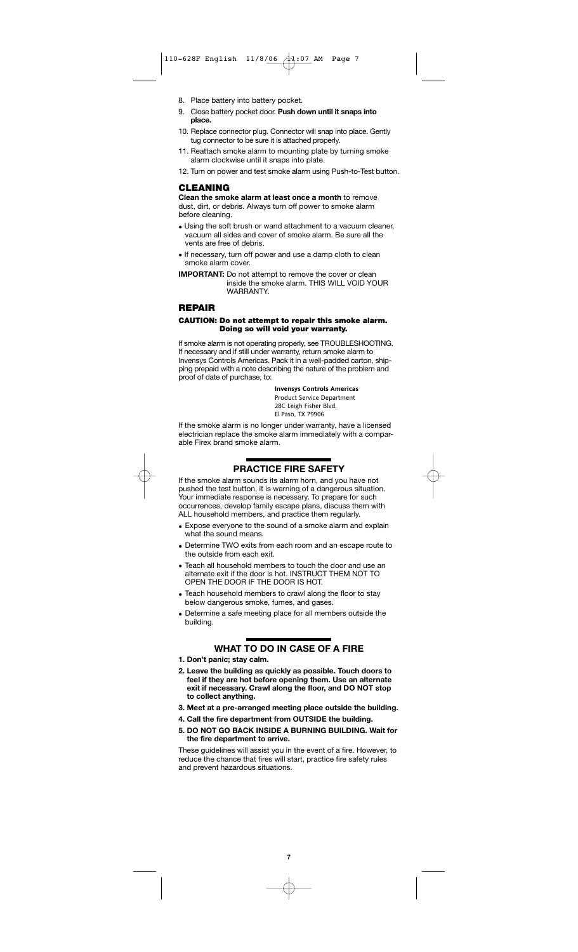- 8. Place battery into battery pocket.
- 9. Close battery pocket door. **Push down until it snaps into place.**
- 10. Replace connector plug. Connector will snap into place. Gently tug connector to be sure it is attached properly.
- 11. Reattach smoke alarm to mounting plate by turning smoke alarm clockwise until it snaps into plate.
- 12. Turn on power and test smoke alarm using Push-to-Test button.

### **CLEANING**

**Clean the smoke alarm at least once a month** to remove dust, dirt, or debris. Always turn off power to smoke alarm before cleaning.

- Using the soft brush or wand attachment to a vacuum cleaner, vacuum all sides and cover of smoke alarm. Be sure all the vents are free of debris.
- If necessary, turn off power and use a damp cloth to clean smoke alarm cover.

**IMPORTANT:** Do not attempt to remove the cover or clean inside the smoke alarm. THIS WILL VOID YOUR WARRANTY.

### **REPAIR**

### **CAUTION: Do not attempt to repair this smoke alarm. Doing so will void your warranty.**

If smoke alarm is not operating properly, see TROUBLESHOOTING. If necessary and if still under warranty, return smoke alarm to Invensys Controls Americas. Pack it in a well-padded carton, shipping prepaid with a note describing the nature of the problem and proof of date of purchase, to:

> **Invensys Controls Americas** Product Service Department 28C Leigh Fisher Blvd.

El Paso, TX 79906

If the smoke alarm is no longer under warranty, have a licensed electrician replace the smoke alarm immediately with a comparable Firex brand smoke alarm.

# **PRACTICE FIRE SAFETY**

If the smoke alarm sounds its alarm horn, and you have not pushed the test button, it is warning of a dangerous situation. Your immediate response is necessary. To prepare for such occurrences, develop family escape plans, discuss them with ALL household members, and practice them regularly.

- Expose everyone to the sound of a smoke alarm and explain what the sound means.
- Determine TWO exits from each room and an escape route to the outside from each exit.
- Teach all household members to touch the door and use an alternate exit if the door is hot. INSTRUCT THEM NOT TO OPEN THE DOOR IF THE DOOR IS HOT.
- Teach household members to crawl along the floor to stay below dangerous smoke, fumes, and gases.
- Determine a safe meeting place for all members outside the building.

# **WHAT TO DO IN CASE OF A FIRE**

**1. Don't panic; stay calm.**

- **2. Leave the building as quickly as possible. Touch doors to feel if they are hot before opening them. Use an alternate exit if necessary. Crawl along the floor, and DO NOT stop to collect anything.**
- **3. Meet at a pre-arranged meeting place outside the building.**
- **4. Call the fire department from OUTSIDE the building.**
- **5. DO NOT GO BACK INSIDE A BURNING BUILDING. Wait for the fire department to arrive.**

These guidelines will assist you in the event of a fire. However, to reduce the chance that fires will start, practice fire safety rules and prevent hazardous situations.